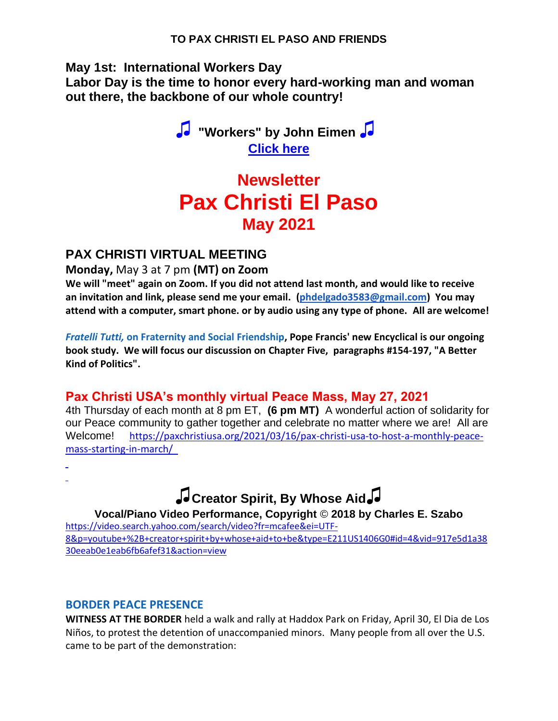**May 1st: International Workers Day**

**Labor Day is the time to honor every hard-working man and woman out there, the backbone of our whole country!** 

> *♫* **"Workers" by John Eimen** *♫* **[Click here](https://na01.safelinks.protection.outlook.com/?url=https%3A%2F%2Fvideo.search.yahoo.com%2Fsearch%2Fvideo%3B_ylt%3DAwrDQ3L08olg.CcA8Hn7w8QF%3B_ylu%3Dc2VjA3NlYXJjaAR2dGlkAw--%3B_ylc%3DX1MDOTY3ODEzMDcEX3IDMgRhY3RuA2NsawRjc3JjcHZpZANSdF9NNlRFd0xqSEZhXzZaWGhaa3RnSGNNall3TUFBQUFBRHZkU0ltBGZyA21jYWZlZQRmcjIDc2EtZ3AEZ3ByaWQDTEN0SXdLZkVRZWlJakt0cDFEYnY4QQRuX3JzbHQDNjAEbl9zdWdnAzAEb3JpZ2luA3ZpZGVvLnNlYXJjaC55YWhvby5jb20EcG9zAzAEcHFzdHIDBHBxc3RybAMEcXN0cmwDNTEEcXVlcnkDeW91dHViZSUyMCUyQiUyMEludGVybmF0aW9uYWwlMjBsYWJvciUyMGRheSUyMHNvbmdzBHRfc3RtcAMxNjE5NjUzNjUw%3Fp%3Dyoutube%2B%252B%2BInternational%2Blabor%2Bday%2Bsongs%26ei%3DUTF-8%26fr2%3Dp%253As%252Cv%253Av%252Cm%253Asa%26fr%3Dmcafee%26type%3DE211US1406G0%23id%3D4%26vid%3D8304446135fb1b1c06b8a48b6f5d1fec%26action%3Dview&data=04%7C01%7C%7C21a2d1b602fc4cb5d50208d91278a0b5%7C84df9e7fe9f640afb435aaaaaaaaaaaa%7C1%7C0%7C637561131963023203%7CUnknown%7CTWFpbGZsb3d8eyJWIjoiMC4wLjAwMDAiLCJQIjoiV2luMzIiLCJBTiI6Ik1haWwiLCJXVCI6Mn0%3D%7C1000&sdata=B02vDSGyDYFOaOSoNS8VDG7cF5iZZWvUXDy4LLs0uJE%3D&reserved=0)**

# **Newsletter Pax Christi El Paso May 2021**

# **PAX CHRISTI VIRTUAL MEETING**

#### **Monday,** May 3 at 7 pm **(MT) on Zoom**

**We will "meet" again on Zoom. If you did not attend last month, and would like to receive an invitation and link, please send me your email. [\(phdelgado3583@gmail.com\)](mailto:phdelgado3583@gmail.com) You may attend with a computer, smart phone. or by audio using any type of phone. All are welcome!**

*Fratelli Tutti,* **on Fraternity and Social Friendship, Pope Francis' new Encyclical is our ongoing book study. We will focus our discussion on Chapter Five, paragraphs #154-197, "A Better Kind of Politics".**

# **Pax Christi USA's monthly virtual Peace Mass, May 27, 2021**

4th Thursday of each month at 8 pm ET, **(6 pm MT)** A wonderful action of solidarity for our Peace community to gather together and celebrate no matter where we are! All are Welcome! [https://paxchristiusa.org/2021/03/16/pax-christi-usa-to-host-a-monthly-peace](https://na01.safelinks.protection.outlook.com/?url=https%3A%2F%2Fpaxchristiusa.org%2F2021%2F03%2F16%2Fpax-christi-usa-to-host-a-monthly-peace-mass-starting-in-march%2F&data=04%7C01%7C%7C21a2d1b602fc4cb5d50208d91278a0b5%7C84df9e7fe9f640afb435aaaaaaaaaaaa%7C1%7C0%7C637561131963033198%7CUnknown%7CTWFpbGZsb3d8eyJWIjoiMC4wLjAwMDAiLCJQIjoiV2luMzIiLCJBTiI6Ik1haWwiLCJXVCI6Mn0%3D%7C1000&sdata=HlUwRqWOc9Ejp2CxGxRDGK8d10UtbuL9BAUFix0sYL4%3D&reserved=0)[mass-starting-in-march/](https://na01.safelinks.protection.outlook.com/?url=https%3A%2F%2Fpaxchristiusa.org%2F2021%2F03%2F16%2Fpax-christi-usa-to-host-a-monthly-peace-mass-starting-in-march%2F&data=04%7C01%7C%7C21a2d1b602fc4cb5d50208d91278a0b5%7C84df9e7fe9f640afb435aaaaaaaaaaaa%7C1%7C0%7C637561131963033198%7CUnknown%7CTWFpbGZsb3d8eyJWIjoiMC4wLjAwMDAiLCJQIjoiV2luMzIiLCJBTiI6Ik1haWwiLCJXVCI6Mn0%3D%7C1000&sdata=HlUwRqWOc9Ejp2CxGxRDGK8d10UtbuL9BAUFix0sYL4%3D&reserved=0) 

# **♫Creator Spirit, By Whose Aid♫**

**Vocal/Piano Video Performance, Copyright** © **2018 by Charles E. Szabo**

[https://video.search.yahoo.com/search/video?fr=mcafee&ei=UTF-](https://na01.safelinks.protection.outlook.com/?url=https%3A%2F%2Fvideo.search.yahoo.com%2Fsearch%2Fvideo%3Ffr%3Dmcafee%26ei%3DUTF-8%26p%3Dyoutube%2B%252B%2Bcreator%2Bspirit%2Bby%2Bwhose%2Baid%2Bto%2Bbe%26type%3DE211US1406G0%23id%3D4%26vid%3D917e5d1a3830eeab0e1eab6fb6afef31%26action%3Dview&data=04%7C01%7C%7C21a2d1b602fc4cb5d50208d91278a0b5%7C84df9e7fe9f640afb435aaaaaaaaaaaa%7C1%7C0%7C637561131963033198%7CUnknown%7CTWFpbGZsb3d8eyJWIjoiMC4wLjAwMDAiLCJQIjoiV2luMzIiLCJBTiI6Ik1haWwiLCJXVCI6Mn0%3D%7C1000&sdata=zsWdVskp49EWgZX07Uagopz42sVA5DPT2%2F02%2FcXurzI%3D&reserved=0)[8&p=youtube+%2B+creator+spirit+by+whose+aid+to+be&type=E211US1406G0#id=4&vid=917e5d1a38](https://na01.safelinks.protection.outlook.com/?url=https%3A%2F%2Fvideo.search.yahoo.com%2Fsearch%2Fvideo%3Ffr%3Dmcafee%26ei%3DUTF-8%26p%3Dyoutube%2B%252B%2Bcreator%2Bspirit%2Bby%2Bwhose%2Baid%2Bto%2Bbe%26type%3DE211US1406G0%23id%3D4%26vid%3D917e5d1a3830eeab0e1eab6fb6afef31%26action%3Dview&data=04%7C01%7C%7C21a2d1b602fc4cb5d50208d91278a0b5%7C84df9e7fe9f640afb435aaaaaaaaaaaa%7C1%7C0%7C637561131963033198%7CUnknown%7CTWFpbGZsb3d8eyJWIjoiMC4wLjAwMDAiLCJQIjoiV2luMzIiLCJBTiI6Ik1haWwiLCJXVCI6Mn0%3D%7C1000&sdata=zsWdVskp49EWgZX07Uagopz42sVA5DPT2%2F02%2FcXurzI%3D&reserved=0) [30eeab0e1eab6fb6afef31&action=view](https://na01.safelinks.protection.outlook.com/?url=https%3A%2F%2Fvideo.search.yahoo.com%2Fsearch%2Fvideo%3Ffr%3Dmcafee%26ei%3DUTF-8%26p%3Dyoutube%2B%252B%2Bcreator%2Bspirit%2Bby%2Bwhose%2Baid%2Bto%2Bbe%26type%3DE211US1406G0%23id%3D4%26vid%3D917e5d1a3830eeab0e1eab6fb6afef31%26action%3Dview&data=04%7C01%7C%7C21a2d1b602fc4cb5d50208d91278a0b5%7C84df9e7fe9f640afb435aaaaaaaaaaaa%7C1%7C0%7C637561131963033198%7CUnknown%7CTWFpbGZsb3d8eyJWIjoiMC4wLjAwMDAiLCJQIjoiV2luMzIiLCJBTiI6Ik1haWwiLCJXVCI6Mn0%3D%7C1000&sdata=zsWdVskp49EWgZX07Uagopz42sVA5DPT2%2F02%2FcXurzI%3D&reserved=0)

#### **BORDER PEACE PRESENCE**

**WITNESS AT THE BORDER** held a walk and rally at Haddox Park on Friday, April 30, El Dia de Los Niños, to protest the detention of unaccompanied minors. Many people from all over the U.S. came to be part of the demonstration: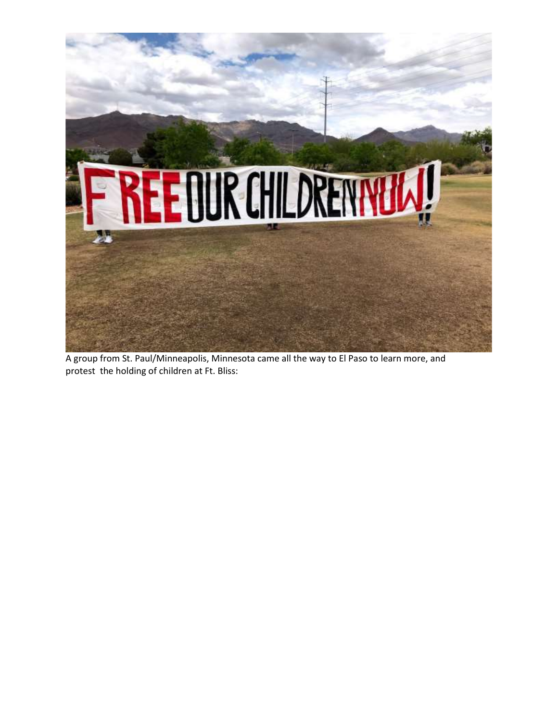

A group from St. Paul/Minneapolis, Minnesota came all the way to El Paso to learn more, and protest the holding of children at Ft. Bliss: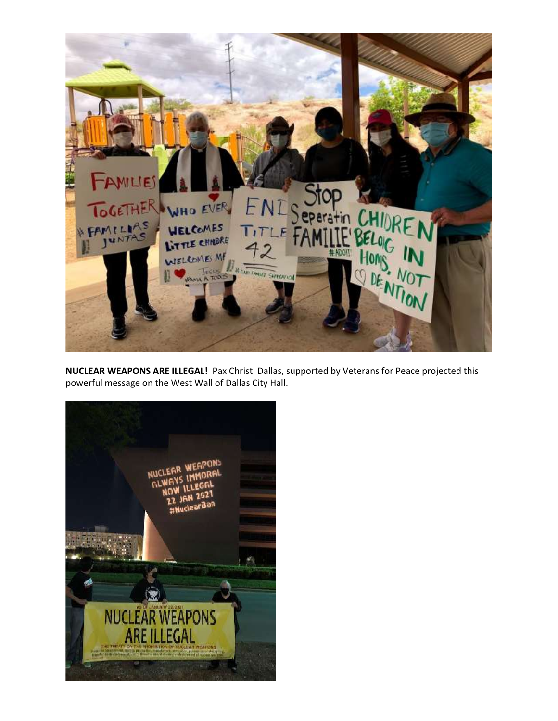

**NUCLEAR WEAPONS ARE ILLEGAL!** Pax Christi Dallas, supported by Veterans for Peace projected this powerful message on the West Wall of Dallas City Hall.

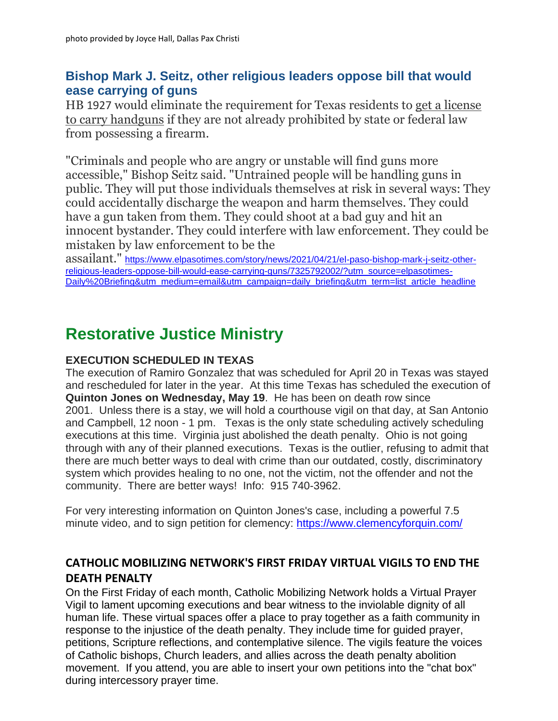# **Bishop Mark J. Seitz, other religious leaders oppose bill that would ease carrying of guns**

HB 1927 would eliminate the requirement for Texas residents to [get a license](https://na01.safelinks.protection.outlook.com/?url=https%3A%2F%2Fwww.texastribune.org%2F2021%2F04%2F19%2Ftexas-constitutional-carry-senate%2F&data=04%7C01%7C%7C21a2d1b602fc4cb5d50208d91278a0b5%7C84df9e7fe9f640afb435aaaaaaaaaaaa%7C1%7C0%7C637561131963043191%7CUnknown%7CTWFpbGZsb3d8eyJWIjoiMC4wLjAwMDAiLCJQIjoiV2luMzIiLCJBTiI6Ik1haWwiLCJXVCI6Mn0%3D%7C1000&sdata=vZFtM3wXNtV68M5DKXWO3kUARErPxK4m%2B7y%2FPTxxqzc%3D&reserved=0)  [to carry handguns](https://na01.safelinks.protection.outlook.com/?url=https%3A%2F%2Fwww.texastribune.org%2F2021%2F04%2F19%2Ftexas-constitutional-carry-senate%2F&data=04%7C01%7C%7C21a2d1b602fc4cb5d50208d91278a0b5%7C84df9e7fe9f640afb435aaaaaaaaaaaa%7C1%7C0%7C637561131963043191%7CUnknown%7CTWFpbGZsb3d8eyJWIjoiMC4wLjAwMDAiLCJQIjoiV2luMzIiLCJBTiI6Ik1haWwiLCJXVCI6Mn0%3D%7C1000&sdata=vZFtM3wXNtV68M5DKXWO3kUARErPxK4m%2B7y%2FPTxxqzc%3D&reserved=0) if they are not already prohibited by state or federal law from possessing a firearm.

"Criminals and people who are angry or unstable will find guns more accessible," Bishop Seitz said. "Untrained people will be handling guns in public. They will put those individuals themselves at risk in several ways: They could accidentally discharge the weapon and harm themselves. They could have a gun taken from them. They could shoot at a bad guy and hit an innocent bystander. They could interfere with law enforcement. They could be mistaken by law enforcement to be the

assailant." [https://www.elpasotimes.com/story/news/2021/04/21/el-paso-bishop-mark-j-seitz-other](https://na01.safelinks.protection.outlook.com/?url=https%3A%2F%2Fwww.elpasotimes.com%2Fstory%2Fnews%2F2021%2F04%2F21%2Fel-paso-bishop-mark-j-seitz-other-religious-leaders-oppose-bill-would-ease-carrying-guns%2F7325792002%2F%3Futm_source%3Delpasotimes-Daily%2520Briefing%26utm_medium%3Demail%26utm_campaign%3Ddaily_briefing%26utm_term%3Dlist_article_headline&data=04%7C01%7C%7C21a2d1b602fc4cb5d50208d91278a0b5%7C84df9e7fe9f640afb435aaaaaaaaaaaa%7C1%7C0%7C637561131963043191%7CUnknown%7CTWFpbGZsb3d8eyJWIjoiMC4wLjAwMDAiLCJQIjoiV2luMzIiLCJBTiI6Ik1haWwiLCJXVCI6Mn0%3D%7C1000&sdata=AzdmM7jw4UHyXLx6BIwaPjt2lzOnEOpv2q%2FqL4WUsvA%3D&reserved=0)[religious-leaders-oppose-bill-would-ease-carrying-guns/7325792002/?utm\\_source=elpasotimes-](https://na01.safelinks.protection.outlook.com/?url=https%3A%2F%2Fwww.elpasotimes.com%2Fstory%2Fnews%2F2021%2F04%2F21%2Fel-paso-bishop-mark-j-seitz-other-religious-leaders-oppose-bill-would-ease-carrying-guns%2F7325792002%2F%3Futm_source%3Delpasotimes-Daily%2520Briefing%26utm_medium%3Demail%26utm_campaign%3Ddaily_briefing%26utm_term%3Dlist_article_headline&data=04%7C01%7C%7C21a2d1b602fc4cb5d50208d91278a0b5%7C84df9e7fe9f640afb435aaaaaaaaaaaa%7C1%7C0%7C637561131963043191%7CUnknown%7CTWFpbGZsb3d8eyJWIjoiMC4wLjAwMDAiLCJQIjoiV2luMzIiLCJBTiI6Ik1haWwiLCJXVCI6Mn0%3D%7C1000&sdata=AzdmM7jw4UHyXLx6BIwaPjt2lzOnEOpv2q%2FqL4WUsvA%3D&reserved=0)[Daily%20Briefing&utm\\_medium=email&utm\\_campaign=daily\\_briefing&utm\\_term=list\\_article\\_headline](https://na01.safelinks.protection.outlook.com/?url=https%3A%2F%2Fwww.elpasotimes.com%2Fstory%2Fnews%2F2021%2F04%2F21%2Fel-paso-bishop-mark-j-seitz-other-religious-leaders-oppose-bill-would-ease-carrying-guns%2F7325792002%2F%3Futm_source%3Delpasotimes-Daily%2520Briefing%26utm_medium%3Demail%26utm_campaign%3Ddaily_briefing%26utm_term%3Dlist_article_headline&data=04%7C01%7C%7C21a2d1b602fc4cb5d50208d91278a0b5%7C84df9e7fe9f640afb435aaaaaaaaaaaa%7C1%7C0%7C637561131963043191%7CUnknown%7CTWFpbGZsb3d8eyJWIjoiMC4wLjAwMDAiLCJQIjoiV2luMzIiLCJBTiI6Ik1haWwiLCJXVCI6Mn0%3D%7C1000&sdata=AzdmM7jw4UHyXLx6BIwaPjt2lzOnEOpv2q%2FqL4WUsvA%3D&reserved=0)

# **Restorative Justice Ministry**

#### **EXECUTION SCHEDULED IN TEXAS**

The execution of Ramiro Gonzalez that was scheduled for April 20 in Texas was stayed and rescheduled for later in the year. At this time Texas has scheduled the execution of **Quinton Jones on Wednesday, May 19**. He has been on death row since 2001. Unless there is a stay, we will hold a courthouse vigil on that day, at San Antonio and Campbell, 12 noon - 1 pm. Texas is the only state scheduling actively scheduling executions at this time. Virginia just abolished the death penalty. Ohio is not going through with any of their planned executions. Texas is the outlier, refusing to admit that there are much better ways to deal with crime than our outdated, costly, discriminatory system which provides healing to no one, not the victim, not the offender and not the community. There are better ways! Info: 915 740-3962.

For very interesting information on Quinton Jones's case, including a powerful 7.5 minute video, and to sign petition for clemency: [https://www.clemencyforquin.com/](https://na01.safelinks.protection.outlook.com/?url=https%3A%2F%2Fwww.clemencyforquin.com%2F&data=04%7C01%7C%7C21a2d1b602fc4cb5d50208d91278a0b5%7C84df9e7fe9f640afb435aaaaaaaaaaaa%7C1%7C0%7C637561131963053186%7CUnknown%7CTWFpbGZsb3d8eyJWIjoiMC4wLjAwMDAiLCJQIjoiV2luMzIiLCJBTiI6Ik1haWwiLCJXVCI6Mn0%3D%7C1000&sdata=AbOKClIURrX7H24xmJsGZx2sTc6m0RRiNWXfma4AC2M%3D&reserved=0) 

#### **CATHOLIC MOBILIZING NETWORK'S FIRST FRIDAY VIRTUAL VIGILS TO END THE DEATH PENALTY**

On the First Friday of each month, Catholic Mobilizing Network holds a Virtual Prayer Vigil to lament upcoming executions and bear witness to the inviolable dignity of all human life. These virtual spaces offer a place to pray together as a faith community in response to the injustice of the death penalty. They include time for guided prayer, petitions, Scripture reflections, and contemplative silence. The vigils feature the voices of Catholic bishops, Church leaders, and allies across the death penalty abolition movement. If you attend, you are able to insert your own petitions into the "chat box" during intercessory prayer time.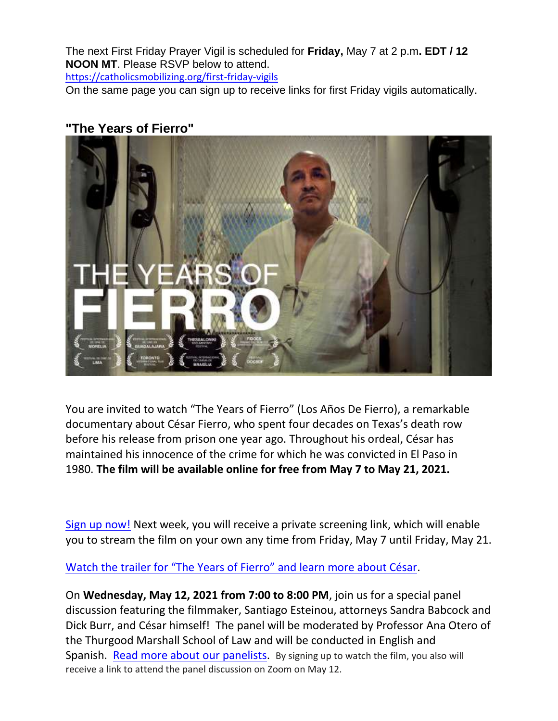The next First Friday Prayer Vigil is scheduled for **Friday,** May 7 at 2 p.m**. EDT / 12 NOON MT**. Please RSVP below to attend.

[https://catholicsmobilizing.org/first-friday-vigils](https://na01.safelinks.protection.outlook.com/?url=https%3A%2F%2Fcatholicsmobilizing.org%2Ffirst-friday-vigils&data=04%7C01%7C%7C21a2d1b602fc4cb5d50208d91278a0b5%7C84df9e7fe9f640afb435aaaaaaaaaaaa%7C1%7C0%7C637561131963053186%7CUnknown%7CTWFpbGZsb3d8eyJWIjoiMC4wLjAwMDAiLCJQIjoiV2luMzIiLCJBTiI6Ik1haWwiLCJXVCI6Mn0%3D%7C1000&sdata=esAWEoK%2FDORUOhU47TeRB7X9uz8JXcXoRHNU5kRB6SA%3D&reserved=0)

On the same page you can sign up to receive links for first Friday vigils automatically.

# **"The Years of Fierro"**



You are invited to watch "The Years of Fierro" (Los Años De Fierro), a remarkable documentary about César Fierro, who spent four decades on Texas's death row before his release from prison one year ago. Throughout his ordeal, César has maintained his innocence of the crime for which he was convicted in El Paso in 1980. **The film will be available online for free from May 7 to May 21, 2021.**

[Sign up now!](https://na01.safelinks.protection.outlook.com/?url=https%3A%2F%2Fu8396791.ct.sendgrid.net%2Fls%2Fclick%3Fupn%3DKQEq7qvEFsn1Qi98uxSU8-2FYcQjnTA2aS2L4pttIJJjszlMaVPpZF1S4YkQJskhZ28sBega4h37M2264-2BLbAKkrNWzV-2BQn5w0q02zpLTQBUmMRb5XzoEy7nnFrjWbw2VAnfk__l8-2FTlOFTkgBDPGod-2B-2B2vsg6X65G4snD7VGxRifdzo2espUlT5RbTsAq4gK93kyonfkvXh1FndfhaT7LqsjO65K8dkBrks4HDF5i-2Fj0r6iPtWvF7cMDU2CVmPy-2F9Zn7-2B9r456Z0NykML-2Bc4ufSLcd1IuKuMI6R5zoRD4H-2FsyG8hl7PoVAVtdkyA8KfoKRQVhROcWaBcdtWEdGisXXdT-2FR5aSuyzsyyss4ngCBEIsyq8BlEjXSWfU2tw2xEAOFabFcCG3GFWovxkbBzub7TSbSG-2BtjmfFDIg0QmKWeZszXpLt7JL7szhGzCOleZs7s0fg5&data=04%7C01%7C%7C21a2d1b602fc4cb5d50208d91278a0b5%7C84df9e7fe9f640afb435aaaaaaaaaaaa%7C1%7C0%7C637561131963063181%7CUnknown%7CTWFpbGZsb3d8eyJWIjoiMC4wLjAwMDAiLCJQIjoiV2luMzIiLCJBTiI6Ik1haWwiLCJXVCI6Mn0%3D%7C1000&sdata=Ho5RFdBProl1pOrggL9g8dHvUxjOdPY6M4YRW05Vqcw%3D&reserved=0) Next week, you will receive a private screening link, which will enable you to stream the film on your own any time from Friday, May 7 until Friday, May 21.

[Watch the trailer for "The Years of Fierro" and learn more about César](https://na01.safelinks.protection.outlook.com/?url=https%3A%2F%2Fu8396791.ct.sendgrid.net%2Fls%2Fclick%3Fupn%3DKQEq7qvEFsn1Qi98uxSU8-2FYcQjnTA2aS2L4pttIJJjszlMaVPpZF1S4YkQJskhZ28sBega4h37M2264-2BLbAKkrNWzV-2BQn5w0q02zpLTQBUm7mUTJPMDdAgsyjcqqCeq1VWBQ_l8-2FTlOFTkgBDPGod-2B-2B2vsg6X65G4snD7VGxRifdzo2espUlT5RbTsAq4gK93kyonfkvXh1FndfhaT7LqsjO65K8dkBrks4HDF5i-2Fj0r6iPtWvF7cMDU2CVmPy-2F9Zn7-2B9r456Z0NykML-2Bc4ufSLcd1IuKuMI6R5zoRD4H-2FsyG8hmaFeDPC-2BfmD-2BmDbZ6cxQKCJQ0vwvA1JOqTtdHnuTMUSfCI9gyurSLoXGdIEvRZdF77-2FTaKzUFJay6lVRPj9TJZQ5lfA4CChptQGDNfb9a40Tsx-2FRlVhCKNWjbkEVUX5XB0f2cICVvzrZK9lT3c6fbY&data=04%7C01%7C%7C21a2d1b602fc4cb5d50208d91278a0b5%7C84df9e7fe9f640afb435aaaaaaaaaaaa%7C1%7C0%7C637561131963063181%7CUnknown%7CTWFpbGZsb3d8eyJWIjoiMC4wLjAwMDAiLCJQIjoiV2luMzIiLCJBTiI6Ik1haWwiLCJXVCI6Mn0%3D%7C1000&sdata=dltaEKui68%2BFu7MmhXZ835F7fqO6eSpe3c9ZvNAQ7L4%3D&reserved=0).

On **Wednesday, May 12, 2021 from 7:00 to 8:00 PM**, join us for a special panel discussion featuring the filmmaker, Santiago Esteinou, attorneys Sandra Babcock and Dick Burr, and César himself! The panel will be moderated by Professor Ana Otero of the Thurgood Marshall School of Law and will be conducted in English and Spanish. Read more about [our panelists.](https://na01.safelinks.protection.outlook.com/?url=https%3A%2F%2Fu8396791.ct.sendgrid.net%2Fls%2Fclick%3Fupn%3DKQEq7qvEFsn1Qi98uxSU8-2FYcQjnTA2aS2L4pttIJJjszlMaVPpZF1S4YkQJskhZ28sBega4h37M2264-2BLbAKkrNWzV-2BQn5w0q02zpLTQBUnUyysSDwYA06o2-2BepQdNeJW-9__l8-2FTlOFTkgBDPGod-2B-2B2vsg6X65G4snD7VGxRifdzo2espUlT5RbTsAq4gK93kyonfkvXh1FndfhaT7LqsjO65K8dkBrks4HDF5i-2Fj0r6iPtWvF7cMDU2CVmPy-2F9Zn7-2B9r456Z0NykML-2Bc4ufSLcd1IuKuMI6R5zoRD4H-2FsyG8hkyd-2BUi2Q9JhN0HOj9Ph60tQh1X4IxV2NUQoaYbKJPZ0tQ04yREc6SZAoiijW8GQHd6GXq6N2motBLpNd-2BCtd-2FvzuLfef9q1izNe3-2Bm9si6zVrU86UB5R4qIBqvSCvax-2BteUIs7d9XKNmo4jDzfeDTg&data=04%7C01%7C%7C21a2d1b602fc4cb5d50208d91278a0b5%7C84df9e7fe9f640afb435aaaaaaaaaaaa%7C1%7C0%7C637561131963073176%7CUnknown%7CTWFpbGZsb3d8eyJWIjoiMC4wLjAwMDAiLCJQIjoiV2luMzIiLCJBTiI6Ik1haWwiLCJXVCI6Mn0%3D%7C1000&sdata=8HBOHR0KeiMoFsgN0%2Fv6miln1T%2FqlariqgBBtwZ8uj8%3D&reserved=0) By signing up to watch the film, you also will receive a link to attend the panel discussion on Zoom on May 12.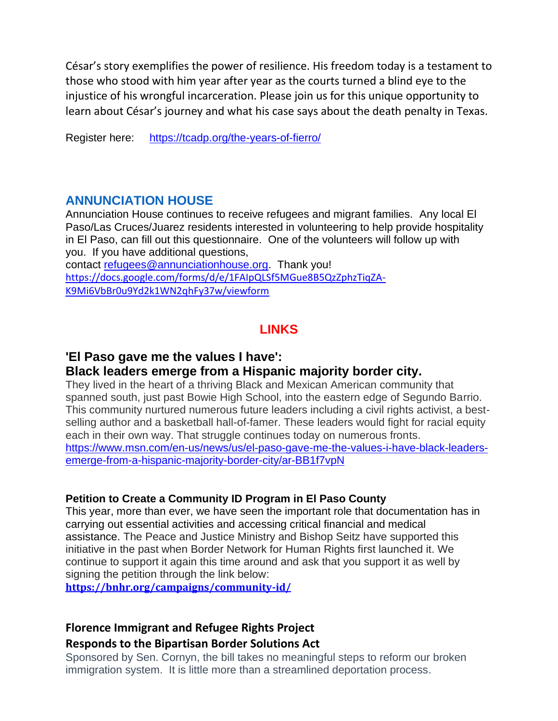César's story exemplifies the power of resilience. His freedom today is a testament to those who stood with him year after year as the courts turned a blind eye to the injustice of his wrongful incarceration. Please join us for this unique opportunity to learn about César's journey and what his case says about the death penalty in Texas.

Register here: [https://tcadp.org/the-years-of-fierro/](https://na01.safelinks.protection.outlook.com/?url=https%3A%2F%2Ftcadp.org%2Fthe-years-of-fierro%2F&data=04%7C01%7C%7C21a2d1b602fc4cb5d50208d91278a0b5%7C84df9e7fe9f640afb435aaaaaaaaaaaa%7C1%7C0%7C637561131963083169%7CUnknown%7CTWFpbGZsb3d8eyJWIjoiMC4wLjAwMDAiLCJQIjoiV2luMzIiLCJBTiI6Ik1haWwiLCJXVCI6Mn0%3D%7C1000&sdata=sXtfaZSGQxanYKtiEMkyOxsAYctGkFmtgp70u%2FiPO28%3D&reserved=0)

#### **ANNUNCIATION HOUSE**

Annunciation House continues to receive refugees and migrant families. Any local El Paso/Las Cruces/Juarez residents interested in volunteering to help provide hospitality in El Paso, can fill out this questionnaire. One of the volunteers will follow up with you. If you have additional questions, contact [refugees@annunciationhouse.org.](mailto:refugees@annunciationhouse.org) Thank you! [https://docs.google.com/forms/d/e/1FAIpQLSf5MGue8B5QzZphzTiqZA-](https://na01.safelinks.protection.outlook.com/?url=https%3A%2F%2Fdocs.google.com%2Fforms%2Fd%2Fe%2F1FAIpQLSf5MGue8B5QzZphzTiqZA-K9Mi6VbBr0u9Yd2k1WN2qhFy37w%2Fviewform&data=04%7C01%7C%7C21a2d1b602fc4cb5d50208d91278a0b5%7C84df9e7fe9f640afb435aaaaaaaaaaaa%7C1%7C0%7C637561131963083169%7CUnknown%7CTWFpbGZsb3d8eyJWIjoiMC4wLjAwMDAiLCJQIjoiV2luMzIiLCJBTiI6Ik1haWwiLCJXVCI6Mn0%3D%7C1000&sdata=MnNZIaXTxpFoWldJNXft0QEwoiWvkkpPRPD6DNInbGI%3D&reserved=0)

[K9Mi6VbBr0u9Yd2k1WN2qhFy37w/viewform](https://na01.safelinks.protection.outlook.com/?url=https%3A%2F%2Fdocs.google.com%2Fforms%2Fd%2Fe%2F1FAIpQLSf5MGue8B5QzZphzTiqZA-K9Mi6VbBr0u9Yd2k1WN2qhFy37w%2Fviewform&data=04%7C01%7C%7C21a2d1b602fc4cb5d50208d91278a0b5%7C84df9e7fe9f640afb435aaaaaaaaaaaa%7C1%7C0%7C637561131963083169%7CUnknown%7CTWFpbGZsb3d8eyJWIjoiMC4wLjAwMDAiLCJQIjoiV2luMzIiLCJBTiI6Ik1haWwiLCJXVCI6Mn0%3D%7C1000&sdata=MnNZIaXTxpFoWldJNXft0QEwoiWvkkpPRPD6DNInbGI%3D&reserved=0)

# **LINKS**

### **'El Paso gave me the values I have':**

#### **Black leaders emerge from a Hispanic majority border city.**

They lived in the heart of a thriving Black and Mexican American community that spanned south, just past Bowie High School, into the eastern edge of Segundo Barrio. This community nurtured numerous future leaders including a civil rights activist, a bestselling author and a basketball hall-of-famer. These leaders would fight for racial equity each in their own way. That struggle continues today on numerous fronts. [https://www.msn.com/en-us/news/us/el-paso-gave-me-the-values-i-have-black-leaders](https://na01.safelinks.protection.outlook.com/?url=https%3A%2F%2Fwww.msn.com%2Fen-us%2Fnews%2Fus%2Fel-paso-gave-me-the-values-i-have-black-leaders-emerge-from-a-hispanic-majority-border-city%2Far-BB1f7vpN&data=04%7C01%7C%7C21a2d1b602fc4cb5d50208d91278a0b5%7C84df9e7fe9f640afb435aaaaaaaaaaaa%7C1%7C0%7C637561131963093165%7CUnknown%7CTWFpbGZsb3d8eyJWIjoiMC4wLjAwMDAiLCJQIjoiV2luMzIiLCJBTiI6Ik1haWwiLCJXVCI6Mn0%3D%7C1000&sdata=yPnVZbtNTLqpjhoLml7bK4H0m0ceGNbVYmm4CrJn6%2FU%3D&reserved=0)[emerge-from-a-hispanic-majority-border-city/ar-BB1f7vpN](https://na01.safelinks.protection.outlook.com/?url=https%3A%2F%2Fwww.msn.com%2Fen-us%2Fnews%2Fus%2Fel-paso-gave-me-the-values-i-have-black-leaders-emerge-from-a-hispanic-majority-border-city%2Far-BB1f7vpN&data=04%7C01%7C%7C21a2d1b602fc4cb5d50208d91278a0b5%7C84df9e7fe9f640afb435aaaaaaaaaaaa%7C1%7C0%7C637561131963093165%7CUnknown%7CTWFpbGZsb3d8eyJWIjoiMC4wLjAwMDAiLCJQIjoiV2luMzIiLCJBTiI6Ik1haWwiLCJXVCI6Mn0%3D%7C1000&sdata=yPnVZbtNTLqpjhoLml7bK4H0m0ceGNbVYmm4CrJn6%2FU%3D&reserved=0)

#### **Petition to Create a Community ID Program in El Paso County**

This year, more than ever, we have seen the important role that documentation has in carrying out essential activities and accessing critical financial and medical assistance. The Peace and Justice Ministry and Bishop Seitz have supported this initiative in the past when Border Network for Human Rights first launched it. We continue to support it again this time around and ask that you support it as well by signing the petition through the link below:

**[https://bnhr.org/campaigns/community-id/](https://na01.safelinks.protection.outlook.com/?url=https%3A%2F%2Fbnhr.org%2Fcampaigns%2Fcommunity-id%2F&data=04%7C01%7C%7C21a2d1b602fc4cb5d50208d91278a0b5%7C84df9e7fe9f640afb435aaaaaaaaaaaa%7C1%7C0%7C637561131963093165%7CUnknown%7CTWFpbGZsb3d8eyJWIjoiMC4wLjAwMDAiLCJQIjoiV2luMzIiLCJBTiI6Ik1haWwiLCJXVCI6Mn0%3D%7C1000&sdata=6pFQdMZ41%2FOldGq4fNu%2F1o5cP9aSj2gdhIDoARaThUQ%3D&reserved=0)**

#### **Florence Immigrant and Refugee Rights Project Responds to the Bipartisan Border Solutions Act**

Sponsored by Sen. Cornyn, the bill takes no meaningful steps to reform our broken immigration system. It is little more than a streamlined deportation process.